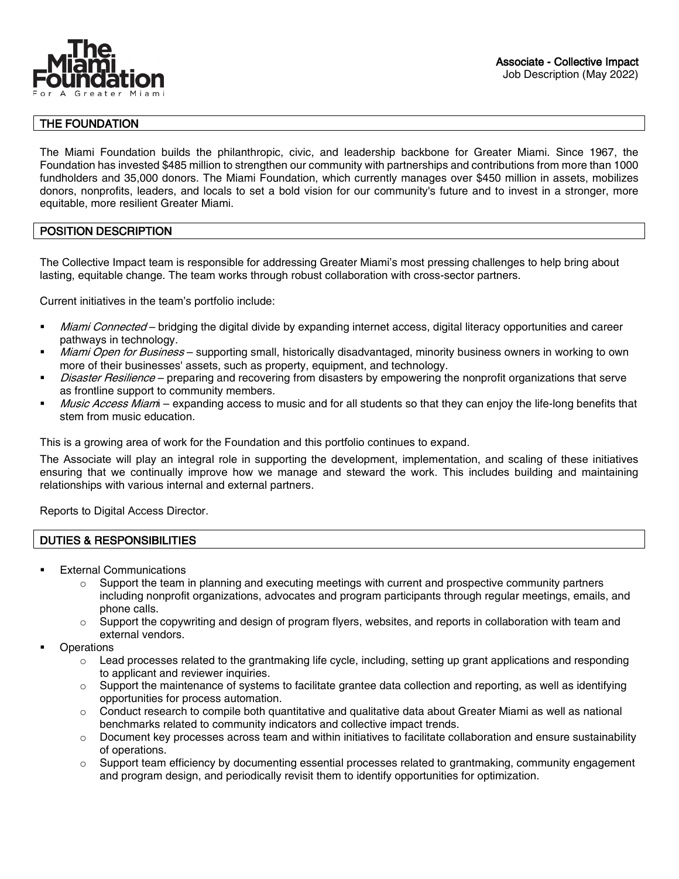

# THE FOUNDATION

The Miami Foundation builds the philanthropic, civic, and leadership backbone for Greater Miami. Since 1967, the Foundation has invested \$485 million to strengthen our community with partnerships and contributions from more than 1000 fundholders and 35,000 donors. The Miami Foundation, which currently manages over \$450 million in assets, mobilizes donors, nonprofits, leaders, and locals to set a bold vision for our community's future and to invest in a stronger, more equitable, more resilient Greater Miami.

## POSITION DESCRIPTION

The Collective Impact team is responsible for addressing Greater Miami's most pressing challenges to help bring about lasting, equitable change. The team works through robust collaboration with cross-sector partners.

Current initiatives in the team's portfolio include:

- Miami Connected bridging the digital divide by expanding internet access, digital literacy opportunities and career pathways in technology.
- Miami Open for Business supporting small, historically disadvantaged, minority business owners in working to own more of their businesses' assets, such as property, equipment, and technology.
- Disaster Resilience preparing and recovering from disasters by empowering the nonprofit organizations that serve as frontline support to community members.
- Music Access Miam expanding access to music and for all students so that they can enjoy the life-long benefits that stem from music education.

This is a growing area of work for the Foundation and this portfolio continues to expand.

The Associate will play an integral role in supporting the development, implementation, and scaling of these initiatives ensuring that we continually improve how we manage and steward the work. This includes building and maintaining relationships with various internal and external partners.

Reports to Digital Access Director.

### DUTIES & RESPONSIBILITIES

- External Communications
	- $\circ$  Support the team in planning and executing meetings with current and prospective community partners including nonprofit organizations, advocates and program participants through regular meetings, emails, and phone calls.
	- $\circ$  Support the copywriting and design of program flyers, websites, and reports in collaboration with team and external vendors.
- **Operations** 
	- $\circ$  Lead processes related to the grantmaking life cycle, including, setting up grant applications and responding to applicant and reviewer inquiries.
	- $\circ$  Support the maintenance of systems to facilitate grantee data collection and reporting, as well as identifying opportunities for process automation.
	- $\circ$  Conduct research to compile both quantitative and qualitative data about Greater Miami as well as national benchmarks related to community indicators and collective impact trends.
	- $\circ$  Document key processes across team and within initiatives to facilitate collaboration and ensure sustainability of operations.
	- o Support team efficiency by documenting essential processes related to grantmaking, community engagement and program design, and periodically revisit them to identify opportunities for optimization.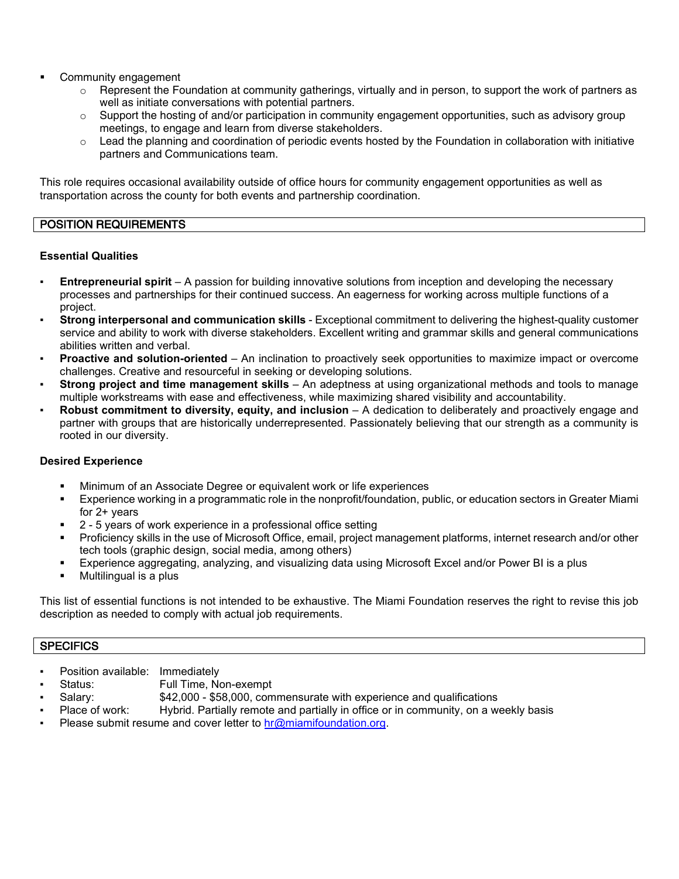- Community engagement
	- $\circ$  Represent the Foundation at community gatherings, virtually and in person, to support the work of partners as well as initiate conversations with potential partners.
	- Support the hosting of and/or participation in community engagement opportunities, such as advisory group meetings, to engage and learn from diverse stakeholders.
	- $\circ$  Lead the planning and coordination of periodic events hosted by the Foundation in collaboration with initiative partners and Communications team.

This role requires occasional availability outside of office hours for community engagement opportunities as well as transportation across the county for both events and partnership coordination.

## POSITION REQUIREMENTS

### **Essential Qualities**

- **Entrepreneurial spirit** A passion for building innovative solutions from inception and developing the necessary processes and partnerships for their continued success. An eagerness for working across multiple functions of a project.
- **Strong interpersonal and communication skills** Exceptional commitment to delivering the highest-quality customer service and ability to work with diverse stakeholders. Excellent writing and grammar skills and general communications abilities written and verbal.
- **Proactive and solution-oriented** An inclination to proactively seek opportunities to maximize impact or overcome challenges. Creative and resourceful in seeking or developing solutions.
- **Strong project and time management skills** An adeptness at using organizational methods and tools to manage multiple workstreams with ease and effectiveness, while maximizing shared visibility and accountability.
- **Robust commitment to diversity, equity, and inclusion** A dedication to deliberately and proactively engage and partner with groups that are historically underrepresented. Passionately believing that our strength as a community is rooted in our diversity.

## **Desired Experience**

- Minimum of an Associate Degree or equivalent work or life experiences
- Experience working in a programmatic role in the nonprofit/foundation, public, or education sectors in Greater Miami for 2+ years
- 2 5 years of work experience in a professional office setting
- Proficiency skills in the use of Microsoft Office, email, project management platforms, internet research and/or other tech tools (graphic design, social media, among others)
- Experience aggregating, analyzing, and visualizing data using Microsoft Excel and/or Power BI is a plus
- **Multilingual is a plus**

This list of essential functions is not intended to be exhaustive. The Miami Foundation reserves the right to revise this job description as needed to comply with actual job requirements.

### **SPECIFICS**

- Position available: Immediately
- Status: Full Time, Non-exempt
	- Salary:  $$42,000 $58,000$ , commensurate with experience and qualifications
- Place of work: Hybrid. Partially remote and partially in office or in community, on a weekly basis
- Please submit resume and cover letter to  $hr@minimum$  miamifoundation.org.